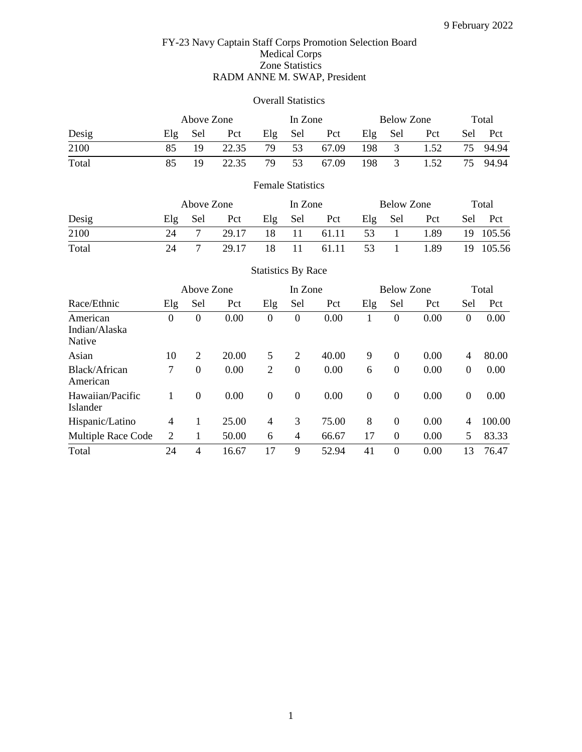## FY-23 Navy Captain Staff Corps Promotion Selection Board Medical Corps Zone Statistics RADM ANNE M. SWAP, President

### Overall Statistics

|       |     | Above Zone |       |     |     | In Zone |     | Below Zone |      |     | Total |
|-------|-----|------------|-------|-----|-----|---------|-----|------------|------|-----|-------|
| Desig | Elg | Sel        | Pct   | Elg | Sel | Pct     | Elg | Sel        | Pct  | Sel | - Pct |
| 2100  | 85  |            | 22.35 | 79  | 53  | 67.09   | 198 | 3          | 1.52 | 75  | 94.94 |
| Total | 85  | 19         | 22.35 | 79  | 53  | 67.09   | 198 | 3          | 1.52 | 75  | 94.94 |

## Female Statistics

| Desig |         | Above Zone |       |     |       | In Zone |     | Below Zone |      |     | Total     |
|-------|---------|------------|-------|-----|-------|---------|-----|------------|------|-----|-----------|
|       | $E\log$ | Sel        | Pct   | Elg | - Sel | Pct     | Elg | Sel        | Pct  | Sel | Pct       |
| 2100  | 24      |            | 29.17 | 18  | -11   | 61.11   | 53  |            | 1.89 |     | 19 105.56 |
| Total | 24      |            | 29.17 | 18  | 11    | 61.11   | 53  |            | 1.89 |     | 19 105.56 |

|                                     | Above Zone       |                  |       | In Zone          |                |       |                | <b>Below Zone</b> |      |                          | Total  |
|-------------------------------------|------------------|------------------|-------|------------------|----------------|-------|----------------|-------------------|------|--------------------------|--------|
| Race/Ethnic                         | Elg              | Sel              | Pct   | Elg              | Sel            | Pct   | Elg            | Sel               | Pct  | Sel                      | Pct    |
| American<br>Indian/Alaska<br>Native | $\boldsymbol{0}$ | $\boldsymbol{0}$ | 0.00  | 0                | $\overline{0}$ | 0.00  |                | 0                 | 0.00 | $\boldsymbol{0}$         | 0.00   |
| Asian                               | 10               | 2                | 20.00 | 5                | 2              | 40.00 | 9              | $\Omega$          | 0.00 | $\overline{4}$           | 80.00  |
| Black/African<br>American           | 7                | $\boldsymbol{0}$ | 0.00  | 2                | $\Omega$       | 0.00  | 6              | $\theta$          | 0.00 | $\boldsymbol{0}$         | 0.00   |
| Hawaiian/Pacific<br>Islander        |                  | $\Omega$         | 0.00  | $\boldsymbol{0}$ | $\Omega$       | 0.00  | $\overline{0}$ | $\theta$          | 0.00 | $\theta$                 | 0.00   |
| Hispanic/Latino                     | 4                |                  | 25.00 | 4                | 3              | 75.00 | 8              | $\theta$          | 0.00 | $\overline{\mathcal{A}}$ | 100.00 |
| Multiple Race Code                  | $\overline{c}$   | 1                | 50.00 | 6                | 4              | 66.67 | 17             | $\theta$          | 0.00 | 5                        | 83.33  |
| Total                               | 24               | $\overline{4}$   | 16.67 | 17               | 9              | 52.94 | 41             | $\Omega$          | 0.00 | 13                       | 76.47  |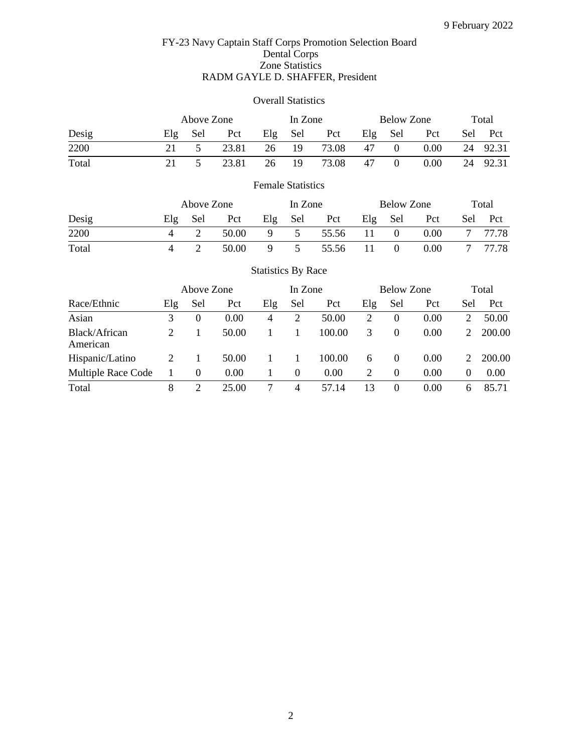## FY-23 Navy Captain Staff Corps Promotion Selection Board Dental Corps Zone Statistics RADM GAYLE D. SHAFFER, President

### Overall Statistics

|       |     | Above Zone |       |     | In Zone |       |         | Below Zone |      |     | Total |
|-------|-----|------------|-------|-----|---------|-------|---------|------------|------|-----|-------|
| Desig | Elg | Sel        | Pct   | Elg | Sel     | Pct   | $E\log$ | Sel        | Pct  | Sel | Pct   |
| 2200  |     |            | 23.81 | 26  | 19      | 73.08 | 47      | $\theta$   | 0.00 | 24  | 92.31 |
| Total |     |            | 23.81 | 26  | 19      | 73.08 | 47      | $\theta$   | 0.00 | 24  | 92.31 |

# Female Statistics

| Desig |     | Above Zone |       |     |                | In Zone |     | Below Zone |      | Total |       |
|-------|-----|------------|-------|-----|----------------|---------|-----|------------|------|-------|-------|
|       | Elg | Sel        | Pct   | Elg | - Sel          | Pct     | Elg | Sel        | Pct  | Sel   | Pct   |
| 2200  |     |            | 50.00 | 9   | 5              | 55.56   | 11. | $\Omega$   | 0.00 |       | 77.78 |
| Total |     |            | 50.00 |     | $\overline{5}$ | 55.56   |     |            | 0.00 |       | 77.78 |

|                           | Above Zone                  |          |       |     | In Zone  |        | <b>Below Zone</b> |          |      |                             | Total  |
|---------------------------|-----------------------------|----------|-------|-----|----------|--------|-------------------|----------|------|-----------------------------|--------|
| Race/Ethnic               | Elg                         | Sel      | Pct   | Elg | Sel      | Pct    | Elg               | Sel      | Pct  | Sel                         | Pct    |
| Asian                     | 3                           | $\theta$ | 0.00  | 4   | 2        | 50.00  | 2                 | $\theta$ | 0.00 |                             | 50.00  |
| Black/African<br>American | $\mathcal{D}_{\mathcal{L}}$ |          | 50.00 |     |          | 100.00 | 3                 | $\Omega$ | 0.00 | $\mathcal{D}_{\cdot}$       | 200.00 |
| Hispanic/Latino           | 2                           |          | 50.00 |     |          | 100.00 | 6                 | $\Omega$ | 0.00 | $\mathcal{D}_{\mathcal{L}}$ | 200.00 |
| Multiple Race Code        |                             | $\theta$ | 0.00  |     | $\Omega$ | 0.00   | 2                 | 0        | 0.00 | $\Omega$                    | 0.00   |
| Total                     | 8                           |          | 25.00 |     | 4        | 57.14  | 13                |          | 0.00 | 6                           | 85.71  |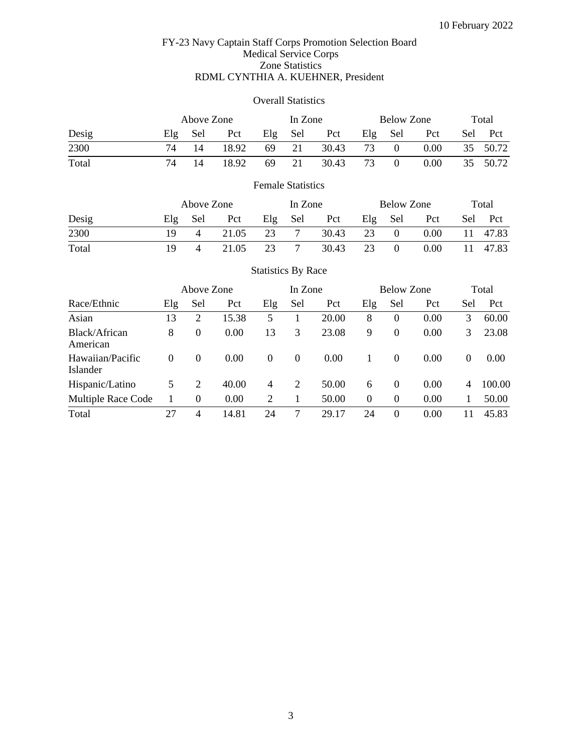## FY-23 Navy Captain Staff Corps Promotion Selection Board Medical Service Corps Zone Statistics RDML CYNTHIA A. KUEHNER, President

### Overall Statistics

|       | Above Zone |     |       | In Zone |     |       |     | Below Zone |      |     | Total |
|-------|------------|-----|-------|---------|-----|-------|-----|------------|------|-----|-------|
| Desig | Elg        | Sel | Pct   | Elg     | Sel | Pct   | Elg | Sel        | Pct  | Sel | - Pct |
| 2300  | 74         |     | 18.92 | 69      | 21  | 30.43 | 73  | $\Omega$   | 0.00 | 35  | 50.72 |
| Total | 74         | 14  | 18.92 | 69      | 21  | 30.43 | 73  | $\theta$   | 0.00 | 35  | 50.72 |

# Female Statistics

|       |     | Above Zone     |       | In Zone |     |       | Below Zone |          |      | Total |       |
|-------|-----|----------------|-------|---------|-----|-------|------------|----------|------|-------|-------|
| Desig | E1g | Sel            | Pct   | Elg     | Sel | Pct   | Elg        | Sel      | Pct  | Sel   | Pct   |
| 2300  | 19  | $\overline{4}$ | 21.05 | 23      |     | 30.43 | 23         | $\theta$ | 0.00 | 11    | 47.83 |
| Total | 19  | $\Delta$       | 21.05 | 23      |     | 30.43 |            |          | 0.00 | 11    | 47.83 |

|                              | Above Zone |          |       | In Zone        |          |       | <b>Below Zone</b> |          |      |          | Total  |
|------------------------------|------------|----------|-------|----------------|----------|-------|-------------------|----------|------|----------|--------|
| Race/Ethnic                  | Elg        | Sel      | Pct   | Elg            | Sel      | Pct   | Elg               | Sel      | Pct  | Sel      | Pct    |
| Asian                        | 13         | 2        | 15.38 | 5              |          | 20.00 | 8                 | 0        | 0.00 | 3        | 60.00  |
| Black/African<br>American    | 8          | $\theta$ | 0.00  | 13             | 3        | 23.08 | 9                 | $\theta$ | 0.00 | 3        | 23.08  |
| Hawaiian/Pacific<br>Islander | $\Omega$   | $\theta$ | 0.00  | $\theta$       | $\theta$ | 0.00  |                   | $\Omega$ | 0.00 | $\Omega$ | 0.00   |
| Hispanic/Latino              | 5          | 2        | 40.00 | $\overline{4}$ | 2        | 50.00 | 6                 | $\Omega$ | 0.00 | 4        | 100.00 |
| Multiple Race Code           |            | $\Omega$ | 0.00  | 2              |          | 50.00 | $\Omega$          | $\Omega$ | 0.00 |          | 50.00  |
| Total                        | 27         | 4        | 14.81 | 24             | 7        | 29.17 | 24                | $\theta$ | 0.00 | 11       | 45.83  |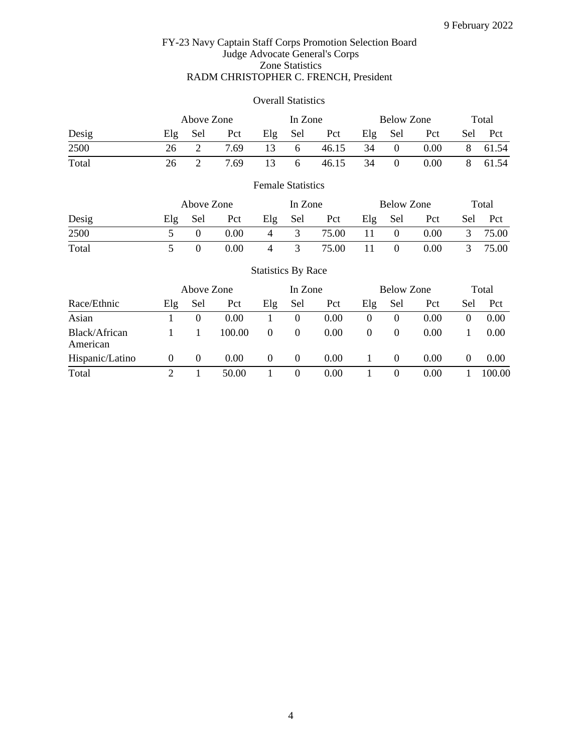### FY-23 Navy Captain Staff Corps Promotion Selection Board Judge Advocate General's Corps Zone Statistics RADM CHRISTOPHER C. FRENCH, President

### Overall Statistics

|       |     | Above Zone |      |     | In Zone      |       |     | Below Zone |          |     | Total |
|-------|-----|------------|------|-----|--------------|-------|-----|------------|----------|-----|-------|
| Desig | Elg | Sel        | Pct  | Elg | Sel          | Pct   | Elg | Sel        | Pct      | Sel | Pct   |
| 2500  | 26  |            | 7.69 | 13  | $\sigma$     | 46.15 | 34  | $\theta$   | $0.00\,$ |     | 61.54 |
| Total | 26  |            | 7.69 | 13  | <sub>0</sub> | 46.15 | 34  | $\theta$   | 0.00     |     | 61.54 |

# Female Statistics

|       |     | Above Zone |      |     |     | In Zone |     | Below Zone |      | Total |       |
|-------|-----|------------|------|-----|-----|---------|-----|------------|------|-------|-------|
| Desig | Elg | Sel        | Pct  | Elg | Sel | Pct     | Elg | Sel        | Pct  | Sel   | Pct   |
| 2500  |     |            | 0.00 | 4   |     | 75.00   |     |            | 0.00 |       | 75.00 |
| Total |     |            | 0.00 | 4   |     | 75.00   |     |            | 0.00 |       | 75.00 |

|                           |          | Above Zone |        |          | In Zone  |      |          | <b>Below Zone</b> |      | Total    |        |
|---------------------------|----------|------------|--------|----------|----------|------|----------|-------------------|------|----------|--------|
| Race/Ethnic               | Elg      | Sel        | Pct    | Elg      | Sel      | Pct  | Elg      | Sel               | Pct  | Sel      | Pct    |
| Asian                     |          | $\theta$   | 0.00   |          | $\theta$ | 0.00 |          | $\theta$          | 0.00 |          | 0.00   |
| Black/African<br>American |          |            | 100.00 | $\theta$ | $\Omega$ | 0.00 | $\Omega$ | $\theta$          | 0.00 |          | 0.00   |
| Hispanic/Latino           | $\theta$ | $\theta$   | 0.00   | $\theta$ | $\theta$ | 0.00 |          | $\theta$          | 0.00 | $\theta$ | 0.00   |
| Total                     |          |            | 50.00  |          | 0        | 0.00 |          | $\theta$          | 0.00 |          | 100.00 |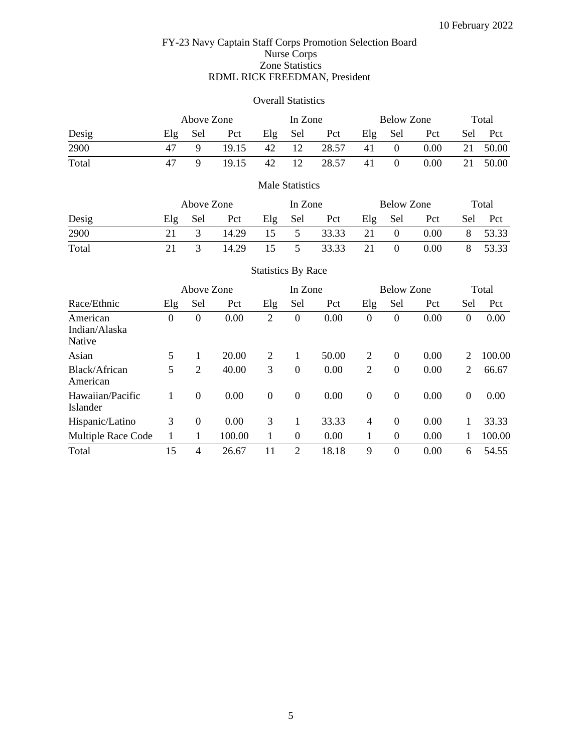### FY-23 Navy Captain Staff Corps Promotion Selection Board Nurse Corps Zone Statistics RDML RICK FREEDMAN, President

#### Overall Statistics

|       |     | Above Zone |       | In Zone |     |       | Below Zone | Total    |      |     |       |
|-------|-----|------------|-------|---------|-----|-------|------------|----------|------|-----|-------|
| Desig | Elg | Sel        | Pct   | Elg     | Sel | Pct   | Elg        | Sel      | Pct  | Sel | Pct   |
| 2900  |     |            | 19.15 | 42      | 12  | 28.57 | 41         | $\theta$ | 0.00 | 21  | 50.00 |
| Total |     |            | 19.15 | 42      | 12  | 28.57 | 41         | $\theta$ | 0.00 | 21  | 50.00 |

### Male Statistics

|       |     | Above Zone |       |     | In Zone |       |     | Below Zone | Total |       |         |
|-------|-----|------------|-------|-----|---------|-------|-----|------------|-------|-------|---------|
| Desig | Elg | Sel        | Pct   | Elg | – Sel   | Pct   | Elg | Sel        | Pct   | Sel - | - Pct   |
| 2900  |     |            | 14.29 | 15  | 5       | 33.33 | 21  | $\Omega$   | 0.00  |       | 8 53.33 |
| Total |     |            | 14.29 | 15  | 5       | 33.33 | 21  |            | 0.00  |       | 53.33   |

Statistics By Race

### Above Zone In Zone Below Zone Total Race/Ethnic Elg Sel Pct Elg Sel Pct Elg Sel Pct Sel Pct American Indian/Alaska Native 0 0 0.00 2 0 0.00 0 0 0.00 0 0.00 Asian 5 1 20.00 2 1 50.00 2 0 0.00 2 100.00 Black/African American 5 2 40.00 3 0 0.00 2 0 0.00 2 66.67 Hawaiian/Pacific Islander 1 0 0.00 0 0 0.00 0 0 0.00 0 0.00 Hispanic/Latino 3 0 0.00 3 1 33.33 4 0 0.00 1 33.33 Multiple Race Code 1 1 100.00 1 0 0.00 1 0 0.00 1 100.00 Total 15 4 26.67 11 2 18.18 9 0 0.00 6 54.55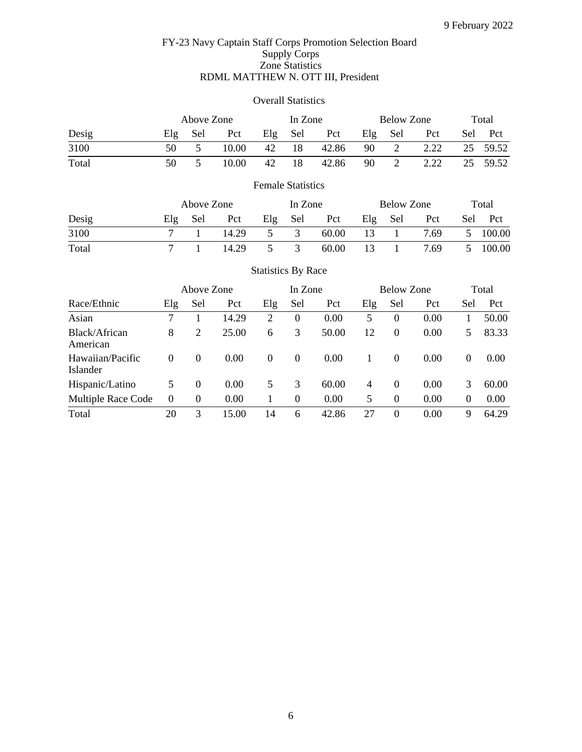## FY-23 Navy Captain Staff Corps Promotion Selection Board Supply Corps Zone Statistics RDML MATTHEW N. OTT III, President

### Overall Statistics

|       |     | Above Zone |       |     |     | In Zone |     | Below Zone | Total |     |          |
|-------|-----|------------|-------|-----|-----|---------|-----|------------|-------|-----|----------|
| Desig | E1g | Sel        | Pct   | Elg | Sel | Pct     | Elg | Sel        | Pct   | Sel | - Pct    |
| 3100  | 50  |            | 10.00 | 42  | 18  | 42.86   | 90  | 2          | 2.22  |     | 25 59.52 |
| Total | 50  |            | 10.00 | 42  |     | 42.86   | 90  |            | 2.22  | 25  | 59.52    |

# Female Statistics

|       |     | Above Zone |       |     |     | In Zone |     | Below Zone | Total |     |        |
|-------|-----|------------|-------|-----|-----|---------|-----|------------|-------|-----|--------|
| Desig | E1g | Sel        | Pct   | Elg | Sel | Pct     | Elg | Sel        | Pct   | Sel | Pct    |
| 3100  |     |            | 14.29 |     |     | 60.00   | 13  |            | 7.69  | 5   | 100.00 |
| Total |     |            | 14.29 |     |     | 60.00   |     |            | 7.69  |     | 100.00 |

|                              | Above Zone |          |       |          | In Zone          |       |                | <b>Below Zone</b> | Total |          |       |
|------------------------------|------------|----------|-------|----------|------------------|-------|----------------|-------------------|-------|----------|-------|
| Race/Ethnic                  | Elg        | Sel      | Pct   | Elg      | Sel              | Pct   | Elg            | Sel               | Pct   | Sel      | Pct   |
| Asian                        | 7          |          | 14.29 | 2        | $\boldsymbol{0}$ | 0.00  | 5              | $\Omega$          | 0.00  |          | 50.00 |
| Black/African<br>American    | 8          | 2        | 25.00 | 6        | 3                | 50.00 | 12             | $\theta$          | 0.00  | 5        | 83.33 |
| Hawaiian/Pacific<br>Islander | $\Omega$   | $\Omega$ | 0.00  | $\theta$ | $\theta$         | 0.00  |                | $\theta$          | 0.00  | $\Omega$ | 0.00  |
| Hispanic/Latino              | 5          | $\Omega$ | 0.00  | 5        | 3                | 60.00 | $\overline{4}$ | $\Omega$          | 0.00  | 3        | 60.00 |
| Multiple Race Code           | $\theta$   | $\Omega$ | 0.00  |          | 0                | 0.00  | 5              | $\Omega$          | 0.00  | $\Omega$ | 0.00  |
| Total                        | 20         | 3        | 15.00 | 14       | 6                | 42.86 | 27             | $\theta$          | 0.00  | 9        | 64.29 |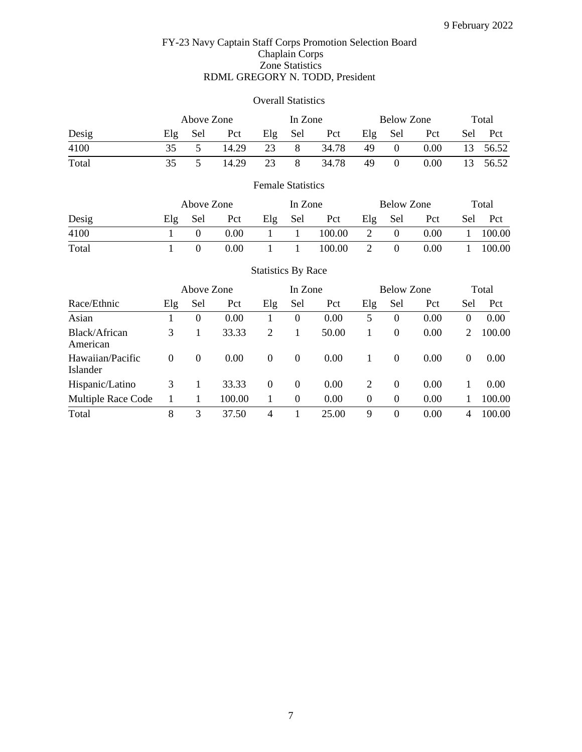## FY-23 Navy Captain Staff Corps Promotion Selection Board Chaplain Corps Zone Statistics RDML GREGORY N. TODD, President

### Overall Statistics

|       |     | Above Zone |       |     | In Zone |       |     | Below Zone | Total |     |       |
|-------|-----|------------|-------|-----|---------|-------|-----|------------|-------|-----|-------|
| Desig | E1g | Sel        | Pct   | Elg | Sel     | Pct   | Elg | Sel        | Pct   | Sel | - Pct |
| 4100  | 35  |            | 14.29 | 23  | 8       | 34.78 | 49  | $\theta$   | 0.00  | 13  | 56.52 |
| Total | 35  |            | 14.29 | 23  | 8       | 34.78 | 49  | $\theta$   | 0.00  | 13  | 56.52 |

# Female Statistics

|       |     | Above Zone |      |     |     | In Zone |     | Below Zone | Total |     |        |
|-------|-----|------------|------|-----|-----|---------|-----|------------|-------|-----|--------|
| Desig | E1g | Sel        | Pct  | Elg | Sel | Pct     | Elg | Sel        | Pct   | Sel | Pct    |
| 4100  |     |            | 0.00 |     |     | 100.00  |     | $\theta$   | 0.00  |     | 100.00 |
| Total |     |            | 0.00 |     |     | 100.00  |     |            | 0.00  |     | 100.00 |

|                              |          | Above Zone |        |          | In Zone        |       |          | <b>Below Zone</b> | Total |          |        |
|------------------------------|----------|------------|--------|----------|----------------|-------|----------|-------------------|-------|----------|--------|
| Race/Ethnic                  | Elg      | Sel        | Pct    | Elg      | Sel            | Pct   | Elg      | Sel               | Pct   | Sel      | Pct    |
| Asian                        |          | $\Omega$   | 0.00   |          | $\overline{0}$ | 0.00  | 5        | 0                 | 0.00  | $\Omega$ | 0.00   |
| Black/African<br>American    | 3        |            | 33.33  | 2        |                | 50.00 |          | $\boldsymbol{0}$  | 0.00  | 2        | 100.00 |
| Hawaiian/Pacific<br>Islander | $\Omega$ | $\theta$   | 0.00   | $\Omega$ | $\theta$       | 0.00  |          | 0                 | 0.00  | $\Omega$ | 0.00   |
| Hispanic/Latino              | 3        |            | 33.33  | $\Omega$ | $\Omega$       | 0.00  | 2        | $\theta$          | 0.00  |          | 0.00   |
| Multiple Race Code           |          |            | 100.00 |          | $\Omega$       | 0.00  | $\Omega$ | $\theta$          | 0.00  |          | 100.00 |
| Total                        | 8        | 3          | 37.50  | 4        |                | 25.00 | 9        | 0                 | 0.00  | 4        | 100.00 |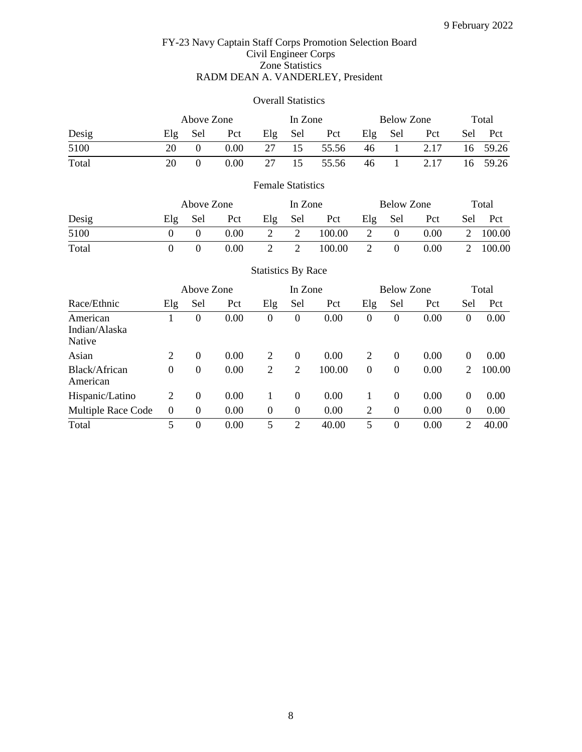## FY-23 Navy Captain Staff Corps Promotion Selection Board Civil Engineer Corps Zone Statistics RADM DEAN A. VANDERLEY, President

## Overall Statistics

|       |                  | Above Zone             |      |                           | In Zone |        |     | <b>Below Zone</b>                 |      | Total |                             |
|-------|------------------|------------------------|------|---------------------------|---------|--------|-----|-----------------------------------|------|-------|-----------------------------|
| Desig | Elg              | Sel                    | Pct  | Elg                       | Sel     | Pct    | Elg | Sel                               | Pct  | Sel   | Pct                         |
| 5100  | 20               | $\theta$               | 0.00 | 27                        | 15      | 55.56  | 46  |                                   | 2.17 | 16    | 59.26                       |
| Total | 20               | $\overline{0}$         | 0.00 | 27                        | 15      | 55.56  | 46  |                                   | 2.17 | 16    | 59.26                       |
|       |                  |                        |      | <b>Female Statistics</b>  |         |        |     |                                   |      |       |                             |
|       |                  | Above Zone             |      |                           | In Zone |        |     | <b>Below Zone</b>                 |      |       | Total                       |
| Desig | Elg              | Sel                    | Pct  | Elg                       | Sel     | Pct    | Elg | Sel                               | Pct  | Sel   | Pct                         |
| 5100  | $\Omega$         | $\theta$               | 0.00 | 2                         | 2       | 100.00 | 2   | $\overline{0}$                    | 0.00 | 2     | 100.00                      |
| Total | $\boldsymbol{0}$ | $\theta$               | 0.00 | 2                         | 2       | 100.00 | 2   | $\overline{0}$                    | 0.00 | 2     | 100.00                      |
|       |                  |                        |      | <b>Statistics By Race</b> |         |        |     |                                   |      |       |                             |
|       |                  | $\lambda$ hovo $7$ ono |      |                           | In $7$  |        |     | $D_{\text{slow}}$ $Z_{\text{on}}$ |      |       | $T_{\alpha\uparrow\alpha}1$ |

|                                     |                | Above Zone       |      |                  | In Zone          |        |          | <b>Below Zone</b> | Total |                |        |
|-------------------------------------|----------------|------------------|------|------------------|------------------|--------|----------|-------------------|-------|----------------|--------|
| Race/Ethnic                         | Elg            | Sel              | Pct  | Elg              | Sel              | Pct    | Elg      | Sel               | Pct   | Sel            | Pct    |
| American<br>Indian/Alaska<br>Native |                | $\boldsymbol{0}$ | 0.00 | $\theta$         | $\boldsymbol{0}$ | 0.00   | $\Omega$ | $\theta$          | 0.00  | 0              | 0.00   |
| Asian                               | $\overline{2}$ | $\overline{0}$   | 0.00 | 2                | $\theta$         | 0.00   | 2        | $\Omega$          | 0.00  | $\theta$       | 0.00   |
| Black/African<br>American           | $\overline{0}$ | 0                | 0.00 | 2                | 2                | 100.00 | $\theta$ | $\boldsymbol{0}$  | 0.00  | 2              | 100.00 |
| Hispanic/Latino                     | 2              | $\boldsymbol{0}$ | 0.00 |                  | $\Omega$         | 0.00   |          | $\theta$          | 0.00  | $\theta$       | 0.00   |
| Multiple Race Code                  | $\theta$       | $\theta$         | 0.00 | $\boldsymbol{0}$ | $\overline{0}$   | 0.00   | 2        | $\boldsymbol{0}$  | 0.00  | $\overline{0}$ | 0.00   |
| Total                               | 5              | $\boldsymbol{0}$ | 0.00 | 5                | 2                | 40.00  | 5        | $\theta$          | 0.00  | 2              | 40.00  |